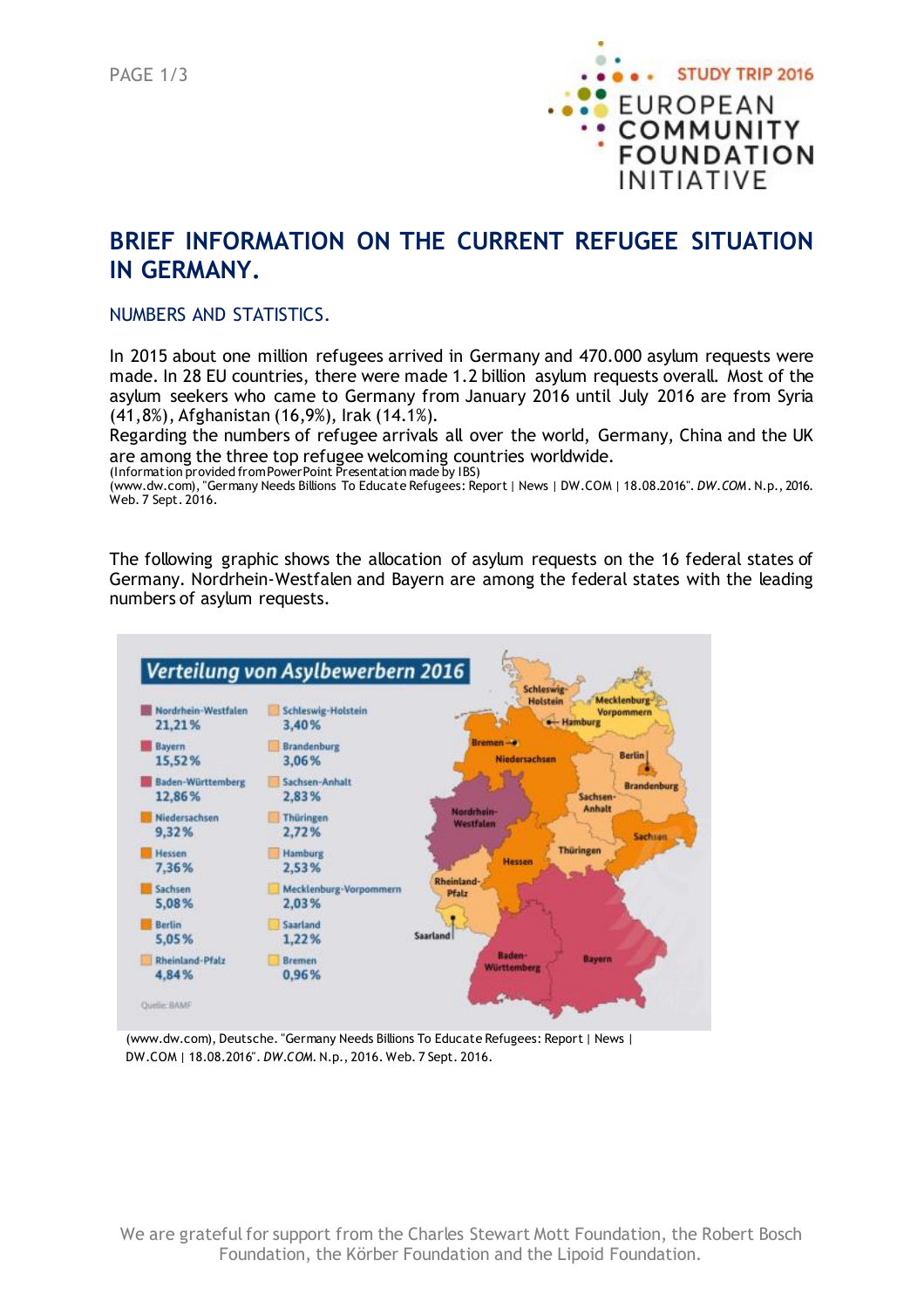

# **BRIEF INFORMATION ON THE CURRENT REFUGEE SITUATION IN GERMANY.**

#### NUMBERS AND STATISTICS.

In 2015 about one million refugees arrived in Germany and 470.000 asylum requests were made. In 28 EU countries, there were made 1.2 billion asylum requests overall. Most of the asylum seekers who came to Germany from January 2016 until July 2016 are from Syria (41,8%), Afghanistan (16,9%), Irak (14.1%).

Regarding the numbers of refugee arrivals all over the world, Germany, China and the UK are among the three top refugee welcoming countries worldwide.

(Information provided fromPowerPoint Presentation made by IBS)

(www.dw.com), "Germany Needs Billions To Educate Refugees: Report | News | DW.COM | 18.08.2016". *DW.COM*. N.p., 2016. Web. 7 Sept. 2016.

The following graphic shows the allocation of asylum requests on the 16 federal states of Germany. Nordrhein-Westfalen and Bayern are among the federal states with the leading numbers of asylum requests.



(www.dw.com), Deutsche. "Germany Needs Billions To Educate Refugees: Report | News | DW.COM | 18.08.2016". *DW.COM*. N.p., 2016. Web. 7 Sept. 2016.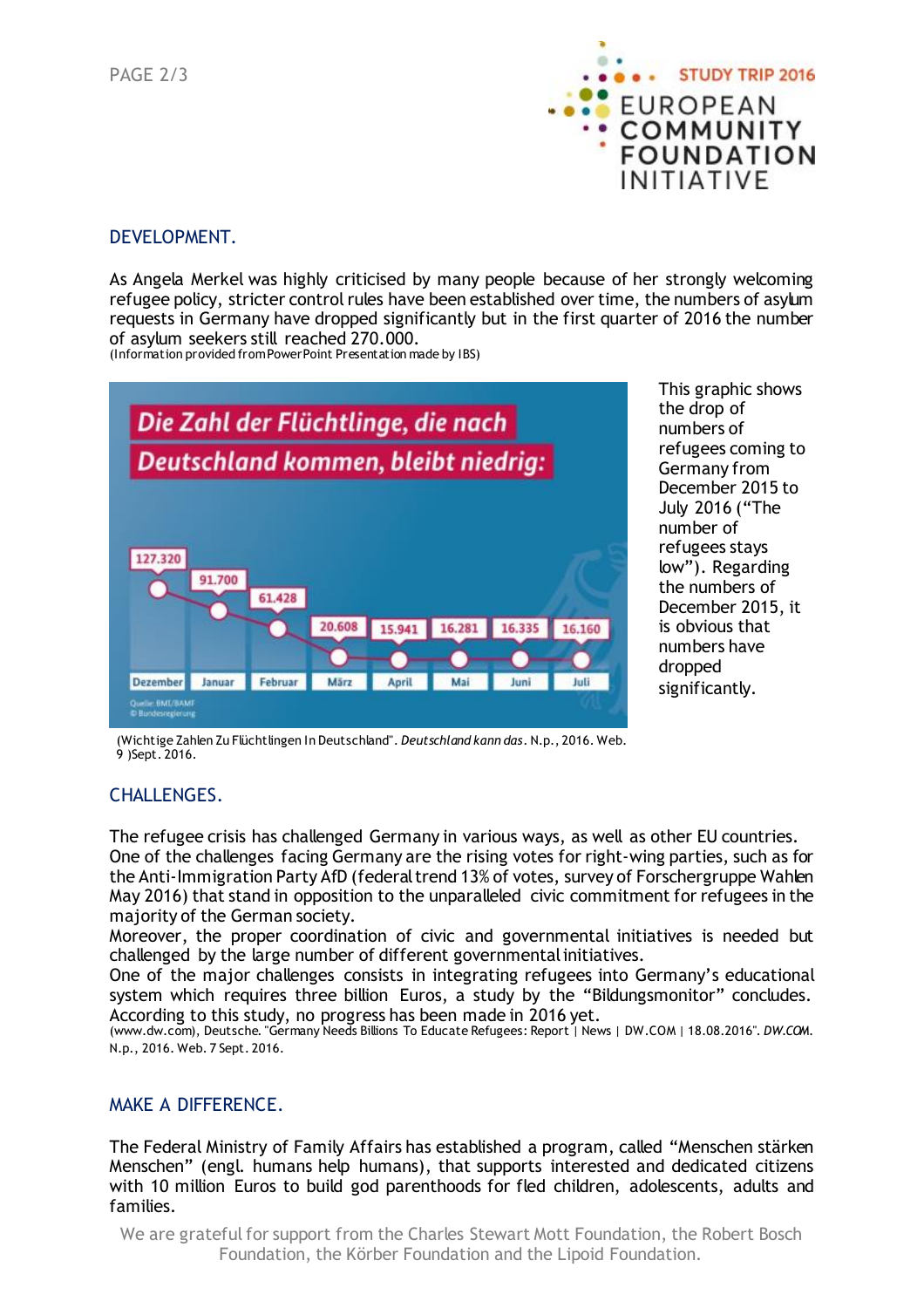PAGE 2/3



## DEVELOPMENT.

As Angela Merkel was highly criticised by many people because of her strongly welcoming refugee policy, stricter control rules have been established over time, the numbers of asylum requests in Germany have dropped significantly but in the first quarter of 2016 the number of asylum seekers still reached 270.000.

(Information provided fromPowerPoint Presentation made by IBS)



This graphic shows the drop of numbers of refugees coming to Germany from December 2015 to July 2016 ("The number of refugees stays low"). Regarding the numbers of December 2015, it is obvious that numbers have dropped significantly.

(Wichtige Zahlen Zu Flüchtlingen In Deutschland". *Deutschland kann das*. N.p., 2016. Web. 9 )Sept. 2016.

## CHALLENGES.

The refugee crisis has challenged Germany in various ways, as well as other EU countries. One of the challenges facing Germany are the rising votes for right-wing parties, such as for the Anti-Immigration Party AfD (federaltrend 13% of votes, survey of Forschergruppe Wahlen May 2016) that stand in opposition to the unparalleled civic commitment for refugees in the majority of the German society.

Moreover, the proper coordination of civic and governmental initiatives is needed but challenged by the large number of different governmentalinitiatives.

One of the major challenges consists in integrating refugees into Germany's educational system which requires three billion Euros, a study by the "Bildungsmonitor" concludes. According to this study, no progress has been made in 2016 yet.

(www.dw.com), Deutsche. "Germany Needs Billions To Educate Refugees: Report | News | DW.COM | 18.08.2016". *DW.COM*. N.p., 2016. Web. 7 Sept. 2016.

## MAKE A DIFFERENCE.

The Federal Ministry of Family Affairs has established a program, called "Menschen stärken Menschen" (engl. humans help humans), that supports interested and dedicated citizens with 10 million Euros to build god parenthoods for fled children, adolescents, adults and families.

We are grateful for support from the Charles Stewart Mott Foundation, the Robert Bosch Foundation, the Körber Foundation and the Lipoid Foundation.